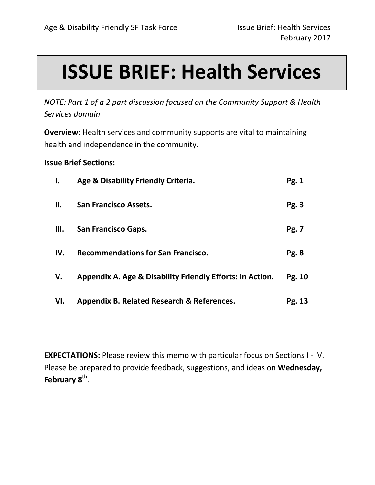# **ISSUE BRIEF: Health Services**

*NOTE: Part 1 of a 2 part discussion focused on the Community Support & Health Services domain*

**Overview**: Health services and community supports are vital to maintaining health and independence in the community.

**Issue Brief Sections:** 

| ı.  | Age & Disability Friendly Criteria.                       | Pg. 1  |
|-----|-----------------------------------------------------------|--------|
| П.  | <b>San Francisco Assets.</b>                              | Pg. 3  |
| Ш.  | <b>San Francisco Gaps.</b>                                | Pg. 7  |
| IV. | <b>Recommendations for San Francisco.</b>                 | Pg. 8  |
| V.  | Appendix A. Age & Disability Friendly Efforts: In Action. | Pg. 10 |
| VI. | Appendix B. Related Research & References.                | Pg. 13 |

**EXPECTATIONS:** Please review this memo with particular focus on Sections I - IV. Please be prepared to provide feedback, suggestions, and ideas on **Wednesday,**  February 8<sup>th</sup>.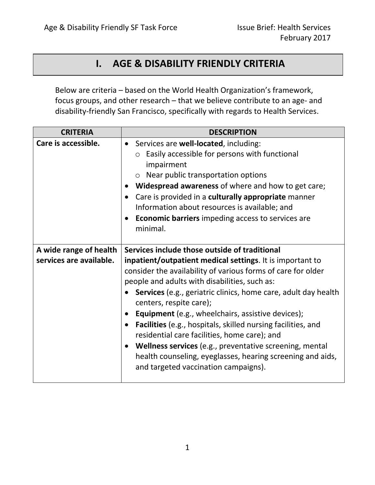## **I. AGE & DISABILITY FRIENDLY CRITERIA**

Below are criteria – based on the World Health Organization's framework, focus groups, and other research – that we believe contribute to an age- and disability-friendly San Francisco, specifically with regards to Health Services.

| <b>CRITERIA</b>                                                         | <b>DESCRIPTION</b>                                                                                                                                                                                                                                                                                                                                                                                                                                                                                                                                                                                                                             |
|-------------------------------------------------------------------------|------------------------------------------------------------------------------------------------------------------------------------------------------------------------------------------------------------------------------------------------------------------------------------------------------------------------------------------------------------------------------------------------------------------------------------------------------------------------------------------------------------------------------------------------------------------------------------------------------------------------------------------------|
| Care is accessible.                                                     | Services are well-located, including:<br>$\bullet$<br>$\circ$ Easily accessible for persons with functional<br>impairment<br>○ Near public transportation options<br>Widespread awareness of where and how to get care;<br>$\bullet$<br>Care is provided in a culturally appropriate manner<br>$\bullet$<br>Information about resources is available; and<br><b>Economic barriers</b> impeding access to services are<br>minimal.                                                                                                                                                                                                              |
| Services include those outside of traditional<br>A wide range of health |                                                                                                                                                                                                                                                                                                                                                                                                                                                                                                                                                                                                                                                |
| services are available.                                                 | inpatient/outpatient medical settings. It is important to<br>consider the availability of various forms of care for older<br>people and adults with disabilities, such as:<br><b>Services</b> (e.g., geriatric clinics, home care, adult day health<br>centers, respite care);<br>Equipment (e.g., wheelchairs, assistive devices);<br>Facilities (e.g., hospitals, skilled nursing facilities, and<br>$\bullet$<br>residential care facilities, home care); and<br>Wellness services (e.g., preventative screening, mental<br>$\bullet$<br>health counseling, eyeglasses, hearing screening and aids,<br>and targeted vaccination campaigns). |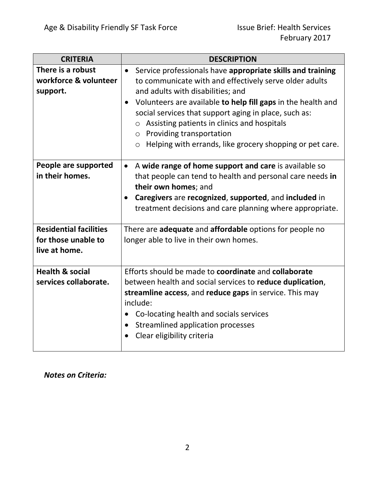| <b>CRITERIA</b>                                                       | <b>DESCRIPTION</b>                                                                                                                                                                                                                                                                                                                                                                                                                                                       |  |
|-----------------------------------------------------------------------|--------------------------------------------------------------------------------------------------------------------------------------------------------------------------------------------------------------------------------------------------------------------------------------------------------------------------------------------------------------------------------------------------------------------------------------------------------------------------|--|
| There is a robust<br>workforce & volunteer<br>support.                | Service professionals have appropriate skills and training<br>$\bullet$<br>to communicate with and effectively serve older adults<br>and adults with disabilities; and<br>Volunteers are available to help fill gaps in the health and<br>$\bullet$<br>social services that support aging in place, such as:<br>$\circ$ Assisting patients in clinics and hospitals<br>o Providing transportation<br>Helping with errands, like grocery shopping or pet care.<br>$\circ$ |  |
| People are supported<br>in their homes.                               | A wide range of home support and care is available so<br>$\bullet$<br>that people can tend to health and personal care needs in<br>their own homes; and<br>Caregivers are recognized, supported, and included in<br>$\bullet$<br>treatment decisions and care planning where appropriate.                                                                                                                                                                                |  |
| <b>Residential facilities</b><br>for those unable to<br>live at home. | There are <b>adequate</b> and <b>affordable</b> options for people no<br>longer able to live in their own homes.                                                                                                                                                                                                                                                                                                                                                         |  |
| <b>Health &amp; social</b><br>services collaborate.                   | Efforts should be made to coordinate and collaborate<br>between health and social services to reduce duplication,<br>streamline access, and reduce gaps in service. This may<br>include:<br>Co-locating health and socials services<br>Streamlined application processes<br>$\bullet$<br>Clear eligibility criteria                                                                                                                                                      |  |

*Notes on Criteria:*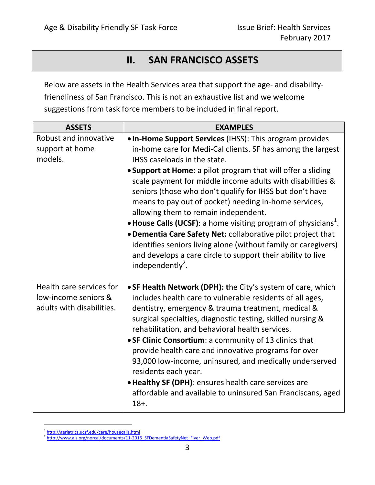# **II. SAN FRANCISCO ASSETS**

Below are assets in the Health Services area that support the age- and disabilityfriendliness of San Francisco. This is not an exhaustive list and we welcome suggestions from task force members to be included in final report.

| <b>ASSETS</b>                                                                 | <b>EXAMPLES</b>                                                                                                                                                                                                                                                                                                                                                                                                                                                                                                                                                                                                                                                                                                                                                   |
|-------------------------------------------------------------------------------|-------------------------------------------------------------------------------------------------------------------------------------------------------------------------------------------------------------------------------------------------------------------------------------------------------------------------------------------------------------------------------------------------------------------------------------------------------------------------------------------------------------------------------------------------------------------------------------------------------------------------------------------------------------------------------------------------------------------------------------------------------------------|
| Robust and innovative<br>support at home<br>models.                           | . In-Home Support Services (IHSS): This program provides<br>in-home care for Medi-Cal clients. SF has among the largest<br>IHSS caseloads in the state.<br>• Support at Home: a pilot program that will offer a sliding<br>scale payment for middle income adults with disabilities &<br>seniors (those who don't qualify for IHSS but don't have<br>means to pay out of pocket) needing in-home services,<br>allowing them to remain independent.<br>• House Calls (UCSF): a home visiting program of physicians <sup>1</sup> .<br>. Dementia Care Safety Net: collaborative pilot project that<br>identifies seniors living alone (without family or caregivers)<br>and develops a care circle to support their ability to live<br>independently <sup>2</sup> . |
| Health care services for<br>low-income seniors &<br>adults with disabilities. | • SF Health Network (DPH): the City's system of care, which<br>includes health care to vulnerable residents of all ages,<br>dentistry, emergency & trauma treatment, medical &<br>surgical specialties, diagnostic testing, skilled nursing &<br>rehabilitation, and behavioral health services.<br>• SF Clinic Consortium: a community of 13 clinics that<br>provide health care and innovative programs for over<br>93,000 low-income, uninsured, and medically underserved<br>residents each year.<br>. Healthy SF (DPH): ensures health care services are<br>affordable and available to uninsured San Franciscans, aged<br>$18+$ .                                                                                                                           |

 $\overline{a}$ <sup>1</sup><http://geriatrics.ucsf.edu/care/housecalls.html>

<sup>&</sup>lt;sup>2</sup> [http://www.alz.org/norcal/documents/11-2016\\_SFDementiaSafetyNet\\_Flyer\\_Web.pdf](http://www.alz.org/norcal/documents/11-2016_SFDementiaSafetyNet_Flyer_Web.pdf)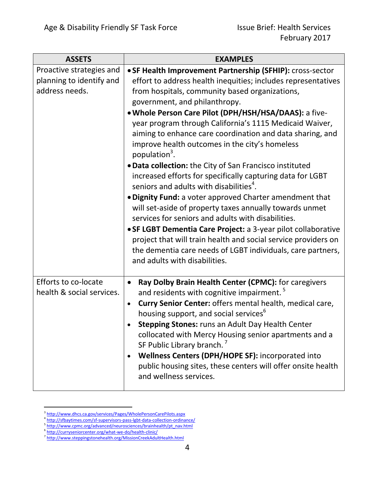| <b>ASSETS</b>                                                          | <b>EXAMPLES</b>                                                                                                                                                                                                                                                                                                                                                                                                                                                                                                                                                                                                                                                                                                                                                                                                                                                                                                                                                                                                                                                              |
|------------------------------------------------------------------------|------------------------------------------------------------------------------------------------------------------------------------------------------------------------------------------------------------------------------------------------------------------------------------------------------------------------------------------------------------------------------------------------------------------------------------------------------------------------------------------------------------------------------------------------------------------------------------------------------------------------------------------------------------------------------------------------------------------------------------------------------------------------------------------------------------------------------------------------------------------------------------------------------------------------------------------------------------------------------------------------------------------------------------------------------------------------------|
| Proactive strategies and<br>planning to identify and<br>address needs. | • SF Health Improvement Partnership (SFHIP): cross-sector<br>effort to address health inequities; includes representatives<br>from hospitals, community based organizations,<br>government, and philanthropy.<br>. Whole Person Care Pilot (DPH/HSH/HSA/DAAS): a five-<br>year program through California's 1115 Medicaid Waiver,<br>aiming to enhance care coordination and data sharing, and<br>improve health outcomes in the city's homeless<br>population <sup>3</sup> .<br>. Data collection: the City of San Francisco instituted<br>increased efforts for specifically capturing data for LGBT<br>seniors and adults with disabilities <sup>4</sup> .<br>. Dignity Fund: a voter approved Charter amendment that<br>will set-aside of property taxes annually towards unmet<br>services for seniors and adults with disabilities.<br>• SF LGBT Dementia Care Project: a 3-year pilot collaborative<br>project that will train health and social service providers on<br>the dementia care needs of LGBT individuals, care partners,<br>and adults with disabilities. |
| <b>Efforts to co-locate</b><br>health & social services.               | Ray Dolby Brain Health Center (CPMC): for caregivers<br>and residents with cognitive impairment. <sup>5</sup><br>Curry Senior Center: offers mental health, medical care,<br>housing support, and social services <sup>6</sup><br><b>Stepping Stones: runs an Adult Day Health Center</b><br>collocated with Mercy Housing senior apartments and a<br>SF Public Library branch. <sup>7</sup><br>Wellness Centers (DPH/HOPE SF): incorporated into<br>public housing sites, these centers will offer onsite health<br>and wellness services.                                                                                                                                                                                                                                                                                                                                                                                                                                                                                                                                  |

<sup>&</sup>lt;sup>3</sup><br><http://www.dhcs.ca.gov/services/Pages/WholePersonCarePilots.aspx><br><sup>4</sup> <http://sfbaytimes.com/sf-supervisors-pass-lgbt-data-collection-ordinance/>

<sup>&</sup>lt;sup>5</sup>[http://www.cpmc.org/advanced/neurosciences/brainhealth/pt\\_nav.html](http://www.cpmc.org/advanced/neurosciences/brainhealth/pt_nav.html)

<sup>6</sup> <http://curryseniorcenter.org/what-we-do/health-clinic/> 7 <http://www.steppingstonehealth.org/MissionCreekAdultHealth.html>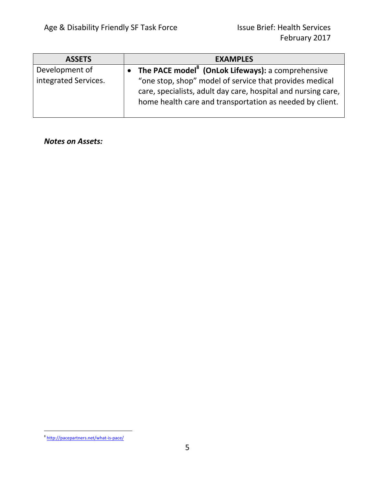| <b>ASSETS</b>        | <b>EXAMPLES</b>                                                                                                                                                                      |
|----------------------|--------------------------------------------------------------------------------------------------------------------------------------------------------------------------------------|
| Development of       | The PACE model <sup>8</sup> (OnLok Lifeways): a comprehensive                                                                                                                        |
| integrated Services. | "one stop, shop" model of service that provides medical<br>care, specialists, adult day care, hospital and nursing care,<br>home health care and transportation as needed by client. |

*Notes on Assets:*

<sup>&</sup>lt;sup>8</sup> <http://pacepartners.net/what-is-pace/>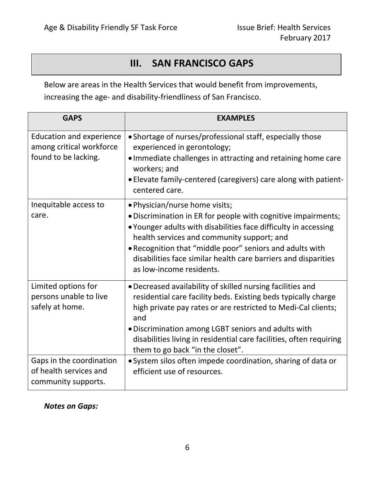# **III. SAN FRANCISCO GAPS**

Below are areas in the Health Services that would benefit from improvements, increasing the age- and disability-friendliness of San Francisco.

| <b>GAPS</b>                                                                         | <b>EXAMPLES</b>                                                                                                                                                                                                                                                                                                                                                            |
|-------------------------------------------------------------------------------------|----------------------------------------------------------------------------------------------------------------------------------------------------------------------------------------------------------------------------------------------------------------------------------------------------------------------------------------------------------------------------|
| <b>Education and experience</b><br>among critical workforce<br>found to be lacking. | • Shortage of nurses/professional staff, especially those<br>experienced in gerontology;<br>. Immediate challenges in attracting and retaining home care<br>workers; and<br>• Elevate family-centered (caregivers) care along with patient-<br>centered care.                                                                                                              |
| Inequitable access to<br>care.                                                      | · Physician/nurse home visits;<br>. Discrimination in ER for people with cognitive impairments;<br>. Younger adults with disabilities face difficulty in accessing<br>health services and community support; and<br>. Recognition that "middle poor" seniors and adults with<br>disabilities face similar health care barriers and disparities<br>as low-income residents. |
| Limited options for<br>persons unable to live<br>safely at home.                    | • Decreased availability of skilled nursing facilities and<br>residential care facility beds. Existing beds typically charge<br>high private pay rates or are restricted to Medi-Cal clients;<br>and<br>. Discrimination among LGBT seniors and adults with<br>disabilities living in residential care facilities, often requiring<br>them to go back "in the closet".     |
| Gaps in the coordination<br>of health services and<br>community supports.           | • System silos often impede coordination, sharing of data or<br>efficient use of resources.                                                                                                                                                                                                                                                                                |

## *Notes on Gaps:*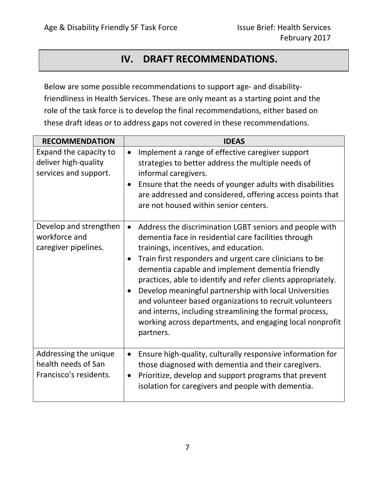# **IV. DRAFT RECOMMENDATIONS.**

Below are some possible recommendations to support age- and disabilityfriendliness in Health Services. These are only meant as a starting point and the role of the task force is to develop the final recommendations, either based on these draft ideas or to address gaps not covered in these recommendations.

| <b>RECOMMENDATION</b>                                                   | <b>IDEAS</b>                                                                                                                                                                                                                                                                                                                                                                                                                                                                                                                                                                                     |
|-------------------------------------------------------------------------|--------------------------------------------------------------------------------------------------------------------------------------------------------------------------------------------------------------------------------------------------------------------------------------------------------------------------------------------------------------------------------------------------------------------------------------------------------------------------------------------------------------------------------------------------------------------------------------------------|
| Expand the capacity to<br>deliver high-quality<br>services and support. | Implement a range of effective caregiver support<br>$\bullet$<br>strategies to better address the multiple needs of<br>informal caregivers.<br>Ensure that the needs of younger adults with disabilities<br>are addressed and considered, offering access points that<br>are not housed within senior centers.                                                                                                                                                                                                                                                                                   |
| Develop and strengthen<br>workforce and<br>caregiver pipelines.         | Address the discrimination LGBT seniors and people with<br>dementia face in residential care facilities through<br>trainings, incentives, and education.<br>Train first responders and urgent care clinicians to be<br>dementia capable and implement dementia friendly<br>practices, able to identify and refer clients appropriately.<br>Develop meaningful partnership with local Universities<br>and volunteer based organizations to recruit volunteers<br>and interns, including streamlining the formal process,<br>working across departments, and engaging local nonprofit<br>partners. |
| Addressing the unique<br>health needs of San<br>Francisco's residents.  | Ensure high-quality, culturally responsive information for<br>$\bullet$<br>those diagnosed with dementia and their caregivers.<br>Prioritize, develop and support programs that prevent<br>$\bullet$<br>isolation for caregivers and people with dementia.                                                                                                                                                                                                                                                                                                                                       |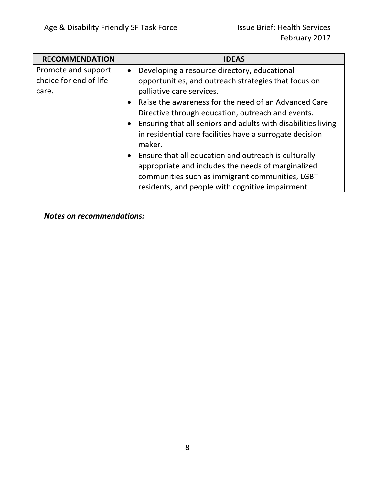| <b>RECOMMENDATION</b>  |           | <b>IDEAS</b>                                                  |
|------------------------|-----------|---------------------------------------------------------------|
| Promote and support    | $\bullet$ | Developing a resource directory, educational                  |
| choice for end of life |           | opportunities, and outreach strategies that focus on          |
| care.                  |           | palliative care services.                                     |
|                        |           | Raise the awareness for the need of an Advanced Care          |
|                        |           | Directive through education, outreach and events.             |
|                        |           | Ensuring that all seniors and adults with disabilities living |
|                        |           | in residential care facilities have a surrogate decision      |
|                        |           | maker.                                                        |
|                        |           | Ensure that all education and outreach is culturally          |
|                        |           | appropriate and includes the needs of marginalized            |
|                        |           | communities such as immigrant communities, LGBT               |
|                        |           | residents, and people with cognitive impairment.              |

*Notes on recommendations:*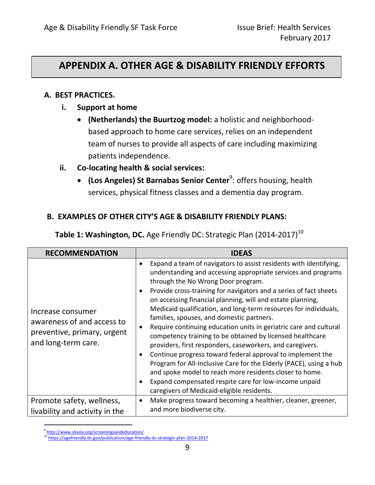## **APPENDIX A. OTHER AGE & DISABILITY FRIENDLY EFFORTS**

## **A. BEST PRACTICES.**

- **i. Support at home**
	- **(Netherlands) the Buurtzog model:** a holistic and neighborhoodbased approach to home care services, relies on an independent team of nurses to provide all aspects of care including maximizing patients independence.

## **ii. Co-locating health & social services:**

**• (Los Angeles) St Barnabas Senior Center**<sup>9</sup>: offers housing, health services, physical fitness classes and a dementia day program.

## **B. EXAMPLES OF OTHER CITY'S AGE & DISABILITY FRIENDLY PLANS:**

| <b>RECOMMENDATION</b>                                                                                 | <b>IDEAS</b>                                                                                                                                                                                                                                                                                                                                                                                                                                                                                                                                                                                                                                                                                                                                                                                                                                                                                                                                                                          |
|-------------------------------------------------------------------------------------------------------|---------------------------------------------------------------------------------------------------------------------------------------------------------------------------------------------------------------------------------------------------------------------------------------------------------------------------------------------------------------------------------------------------------------------------------------------------------------------------------------------------------------------------------------------------------------------------------------------------------------------------------------------------------------------------------------------------------------------------------------------------------------------------------------------------------------------------------------------------------------------------------------------------------------------------------------------------------------------------------------|
| Increase consumer<br>awareness of and access to<br>preventive, primary, urgent<br>and long-term care. | Expand a team of navigators to assist residents with identifying,<br>$\bullet$<br>understanding and accessing appropriate services and programs<br>through the No Wrong Door program.<br>Provide cross-training for navigators and a series of fact sheets<br>on accessing financial planning, will and estate planning,<br>Medicaid qualification, and long-term resources for individuals,<br>families, spouses, and domestic partners.<br>Require continuing education units in geriatric care and cultural<br>$\bullet$<br>competency training to be obtained by licensed healthcare<br>providers, first responders, caseworkers, and caregivers.<br>Continue progress toward federal approval to implement the<br>$\bullet$<br>Program for All-Inclusive Care for the Elderly (PACE), using a hub<br>and spoke model to reach more residents closer to home.<br>Expand compensated respite care for low-income unpaid<br>$\bullet$<br>caregivers of Medicaid-eligible residents. |
| Promote safety, wellness,<br>livability and activity in the                                           | Make progress toward becoming a healthier, cleaner, greener,<br>$\bullet$<br>and more biodiverse city.                                                                                                                                                                                                                                                                                                                                                                                                                                                                                                                                                                                                                                                                                                                                                                                                                                                                                |

**Table 1: Washington, DC.** Age Friendly DC: Strategic Plan (2014-2017)<sup>10</sup>

 $\overline{a}$ <sup>9</sup><http://www.sbssla.org/screeningsandeducation/>

<sup>10</sup> <https://agefriendly.dc.gov/publication/age-friendly-dc-strategic-plan-2014-2017>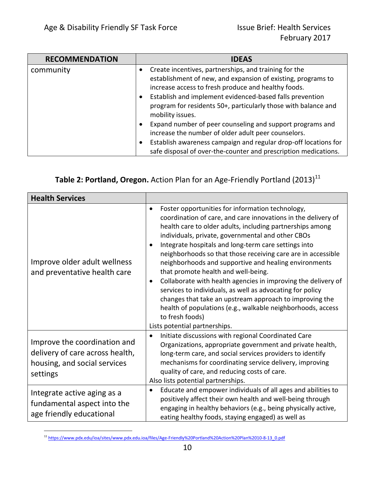| <b>RECOMMENDATION</b> | <b>IDEAS</b>                                                                                                                                                                                                                                                                                               |
|-----------------------|------------------------------------------------------------------------------------------------------------------------------------------------------------------------------------------------------------------------------------------------------------------------------------------------------------|
| community             | Create incentives, partnerships, and training for the<br>establishment of new, and expansion of existing, programs to<br>increase access to fresh produce and healthy foods.<br>Establish and implement evidenced-based falls prevention<br>program for residents 50+, particularly those with balance and |
|                       | mobility issues.<br>Expand number of peer counseling and support programs and<br>increase the number of older adult peer counselors.<br>Establish awareness campaign and regular drop-off locations for<br>safe disposal of over-the-counter and prescription medications.                                 |

## **Table 2: Portland, Oregon.** Action Plan for an Age-Friendly Portland (2013)<sup>11</sup>

| <b>Health Services</b>                                                                                      |                                                                                                                                                                                                                                                                                                                                                                                                                                                                                                                                                                                                                                                                                                                                                                                           |
|-------------------------------------------------------------------------------------------------------------|-------------------------------------------------------------------------------------------------------------------------------------------------------------------------------------------------------------------------------------------------------------------------------------------------------------------------------------------------------------------------------------------------------------------------------------------------------------------------------------------------------------------------------------------------------------------------------------------------------------------------------------------------------------------------------------------------------------------------------------------------------------------------------------------|
| Improve older adult wellness<br>and preventative health care                                                | Foster opportunities for information technology,<br>$\bullet$<br>coordination of care, and care innovations in the delivery of<br>health care to older adults, including partnerships among<br>individuals, private, governmental and other CBOs<br>Integrate hospitals and long-term care settings into<br>neighborhoods so that those receiving care are in accessible<br>neighborhoods and supportive and healing environments<br>that promote health and well-being.<br>Collaborate with health agencies in improving the delivery of<br>٠<br>services to individuals, as well as advocating for policy<br>changes that take an upstream approach to improving the<br>health of populations (e.g., walkable neighborhoods, access<br>to fresh foods)<br>Lists potential partnerships. |
| Improve the coordination and<br>delivery of care across health,<br>housing, and social services<br>settings | Initiate discussions with regional Coordinated Care<br>$\bullet$<br>Organizations, appropriate government and private health,<br>long-term care, and social services providers to identify<br>mechanisms for coordinating service delivery, improving<br>quality of care, and reducing costs of care.<br>Also lists potential partnerships.                                                                                                                                                                                                                                                                                                                                                                                                                                               |
| Integrate active aging as a<br>fundamental aspect into the<br>age friendly educational                      | Educate and empower individuals of all ages and abilities to<br>$\bullet$<br>positively affect their own health and well-being through<br>engaging in healthy behaviors (e.g., being physically active,<br>eating healthy foods, staying engaged) as well as                                                                                                                                                                                                                                                                                                                                                                                                                                                                                                                              |

 $\overline{a}$ <sup>11</sup> [https://www.pdx.edu/ioa/sites/www.pdx.edu.ioa/files/Age-Friendly%20Portland%20Action%20Plan%2010-8-13\\_0.pdf](https://www.pdx.edu/ioa/sites/www.pdx.edu.ioa/files/Age-Friendly%20Portland%20Action%20Plan%2010-8-13_0.pdf)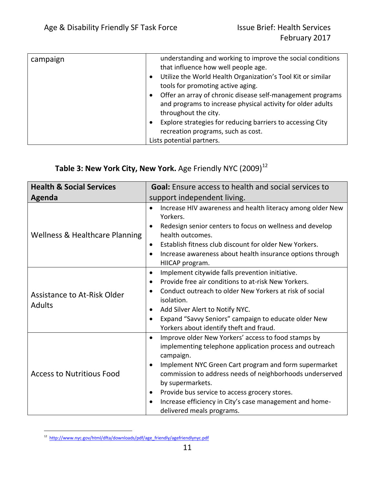| campaign | understanding and working to improve the social conditions<br>that influence how well people age.<br>Utilize the World Health Organization's Tool Kit or similar<br>tools for promoting active aging.<br>Offer an array of chronic disease self-management programs<br>and programs to increase physical activity for older adults |
|----------|------------------------------------------------------------------------------------------------------------------------------------------------------------------------------------------------------------------------------------------------------------------------------------------------------------------------------------|
|          | throughout the city.                                                                                                                                                                                                                                                                                                               |
|          | Explore strategies for reducing barriers to accessing City                                                                                                                                                                                                                                                                         |
|          | recreation programs, such as cost.                                                                                                                                                                                                                                                                                                 |
|          | Lists potential partners.                                                                                                                                                                                                                                                                                                          |

# **Table 3: New York City, New York.** Age Friendly NYC (2009)<sup>12</sup>

| <b>Health &amp; Social Services</b>                 | <b>Goal:</b> Ensure access to health and social services to                                                                                                                                                                                                                                                                                                                                                                |
|-----------------------------------------------------|----------------------------------------------------------------------------------------------------------------------------------------------------------------------------------------------------------------------------------------------------------------------------------------------------------------------------------------------------------------------------------------------------------------------------|
| Agenda                                              | support independent living.                                                                                                                                                                                                                                                                                                                                                                                                |
| <b>Wellness &amp; Healthcare Planning</b>           | Increase HIV awareness and health literacy among older New<br>$\bullet$<br>Yorkers.<br>Redesign senior centers to focus on wellness and develop<br>health outcomes.<br>Establish fitness club discount for older New Yorkers.<br>$\bullet$<br>Increase awareness about health insurance options through<br>$\bullet$<br>HIICAP program.                                                                                    |
| <b>Assistance to At-Risk Older</b><br><b>Adults</b> | Implement citywide falls prevention initiative.<br>$\bullet$<br>Provide free air conditions to at-risk New Yorkers.<br>Conduct outreach to older New Yorkers at risk of social<br>isolation.<br>Add Silver Alert to Notify NYC.<br>Expand "Savvy Seniors" campaign to educate older New<br>Yorkers about identify theft and fraud.                                                                                         |
| <b>Access to Nutritious Food</b>                    | Improve older New Yorkers' access to food stamps by<br>$\bullet$<br>implementing telephone application process and outreach<br>campaign.<br>Implement NYC Green Cart program and form supermarket<br>commission to address needs of neighborhoods underserved<br>by supermarkets.<br>Provide bus service to access grocery stores.<br>Increase efficiency in City's case management and home-<br>delivered meals programs. |

 $\overline{a}$ <sup>12</sup> [http://www.nyc.gov/html/dfta/downloads/pdf/age\\_friendly/agefriendlynyc.pdf](http://www.nyc.gov/html/dfta/downloads/pdf/age_friendly/agefriendlynyc.pdf)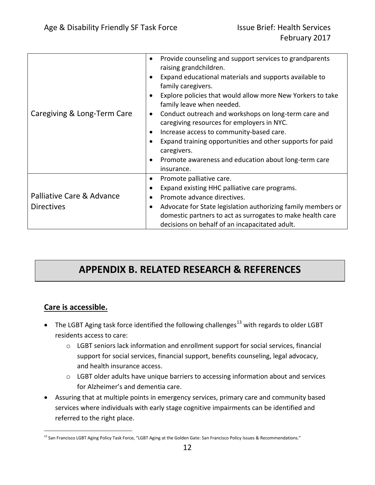| Caregiving & Long-Term Care                    | Provide counseling and support services to grandparents<br>$\bullet$<br>raising grandchildren.<br>Expand educational materials and supports available to<br>family caregivers.<br>Explore policies that would allow more New Yorkers to take<br>family leave when needed.<br>Conduct outreach and workshops on long-term care and<br>٠<br>caregiving resources for employers in NYC.<br>Increase access to community-based care.<br>Expand training opportunities and other supports for paid<br>caregivers.<br>Promote awareness and education about long-term care<br>insurance. |
|------------------------------------------------|------------------------------------------------------------------------------------------------------------------------------------------------------------------------------------------------------------------------------------------------------------------------------------------------------------------------------------------------------------------------------------------------------------------------------------------------------------------------------------------------------------------------------------------------------------------------------------|
| Palliative Care & Advance<br><b>Directives</b> | Promote palliative care.<br>$\bullet$<br>Expand existing HHC palliative care programs.<br>Promote advance directives.<br>Advocate for State legislation authorizing family members or<br>domestic partners to act as surrogates to make health care<br>decisions on behalf of an incapacitated adult.                                                                                                                                                                                                                                                                              |

# **APPENDIX B. RELATED RESEARCH & REFERENCES**

## **Care is accessible.**

- The LGBT Aging task force identified the following challenges<sup>13</sup> with regards to older LGBT residents access to care:
	- o LGBT seniors lack information and enrollment support for social services, financial support for social services, financial support, benefits counseling, legal advocacy, and health insurance access.
	- $\circ$  LGBT older adults have unique barriers to accessing information about and services for Alzheimer's and dementia care.
- Assuring that at multiple points in emergency services, primary care and community based services where individuals with early stage cognitive impairments can be identified and referred to the right place.

 $\overline{a}$ <sup>13</sup> San Francisco LGBT Aging Policy Task Force, "LGBT Aging at the Golden Gate: San Francisco Policy Issues & Recommendations."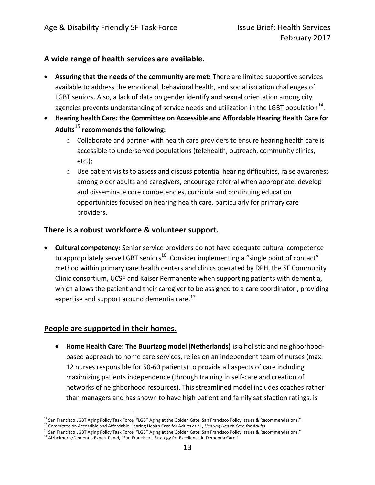## **A wide range of health services are available.**

- **Assuring that the needs of the community are met:** There are limited supportive services available to address the emotional, behavioral health, and social isolation challenges of LGBT seniors. Also, a lack of data on gender identify and sexual orientation among city agencies prevents understanding of service needs and utilization in the LGBT population<sup>14</sup>.
- **Hearing health Care: the Committee on Accessible and Affordable Hearing Health Care for Adults**<sup>15</sup> **recommends the following:** 
	- o Collaborate and partner with health care providers to ensure hearing health care is accessible to underserved populations (telehealth, outreach, community clinics, etc.);
	- o Use patient visits to assess and discuss potential hearing difficulties, raise awareness among older adults and caregivers, encourage referral when appropriate, develop and disseminate core competencies, curricula and continuing education opportunities focused on hearing health care, particularly for primary care providers.

## **There is a robust workforce & volunteer support.**

 **Cultural competency:** Senior service providers do not have adequate cultural competence to appropriately serve LGBT seniors<sup>16</sup>. Consider implementing a "single point of contact" method within primary care health centers and clinics operated by DPH, the SF Community Clinic consortium, UCSF and Kaiser Permanente when supporting patients with dementia, which allows the patient and their caregiver to be assigned to a care coordinator , providing expertise and support around dementia care. $^{17}$ 

## **People are supported in their homes.**

 **Home Health Care: The Buurtzog model (Netherlands)** is a holistic and neighborhoodbased approach to home care services, relies on an independent team of nurses (max. 12 nurses responsible for 50-60 patients) to provide all aspects of care including maximizing patients independence (through training in self-care and creation of networks of neighborhood resources). This streamlined model includes coaches rather than managers and has shown to have high patient and family satisfaction ratings, is

 $\overline{a}$ <sup>14</sup> San Francisco LGBT Aging Policy Task Force, "LGBT Aging at the Golden Gate: San Francisco Policy Issues & Recommendations."

<sup>15</sup> Committee on Accessible and Affordable Hearing Health Care for Adults et al., *Hearing Health Care for Adults*.

<sup>&</sup>lt;sup>16</sup> San Francisco LGBT Aging Policy Task Force, "LGBT Aging at the Golden Gate: San Francisco Policy Issues & Recommendations."

<sup>&</sup>lt;sup>17</sup> Alzheimer's/Dementia Expert Panel, "San Francisco's Strategy for Excellence in Dementia Care."